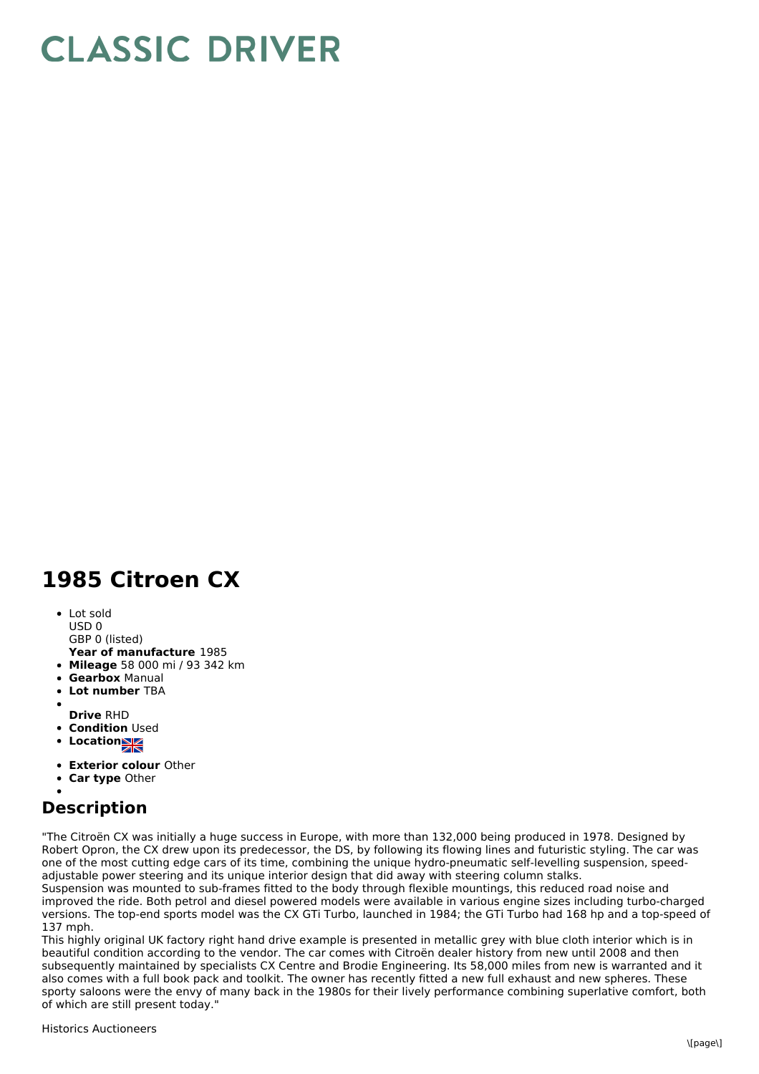## **CLASSIC DRIVER**

## **1985 Citroen CX**

• Lot sold USD 0

GBP 0 (listed)

- **Year of manufacture** 1985
- **Mileage** 58 000 mi / 93 342 km
- **Gearbox** Manual
- **Lot number** TBA
- 
- **Drive** RHD
- **Condition Used**
- **Locations**
- **Exterior colour** Other
- **Car type** Other

## **Description**

"The Citroën CX was initially a huge success in Europe, with more than 132,000 being produced in 1978. Designed by Robert Opron, the CX drew upon its predecessor, the DS, by following its flowing lines and futuristic styling. The car was one of the most cutting edge cars of its time, combining the unique hydro-pneumatic self-levelling suspension, speedadjustable power steering and its unique interior design that did away with steering column stalks.

Suspension was mounted to sub-frames fitted to the body through flexible mountings, this reduced road noise and improved the ride. Both petrol and diesel powered models were available in various engine sizes including turbo-charged versions. The top-end sports model was the CX GTi Turbo, launched in 1984; the GTi Turbo had 168 hp and a top-speed of 137 mph.

This highly original UK factory right hand drive example is presented in metallic grey with blue cloth interior which is in beautiful condition according to the vendor. The car comes with Citroën dealer history from new until 2008 and then subsequently maintained by specialists CX Centre and Brodie Engineering. Its 58,000 miles from new is warranted and it also comes with a full book pack and toolkit. The owner has recently fitted a new full exhaust and new spheres. These sporty saloons were the envy of many back in the 1980s for their lively performance combining superlative comfort, both of which are still present today."